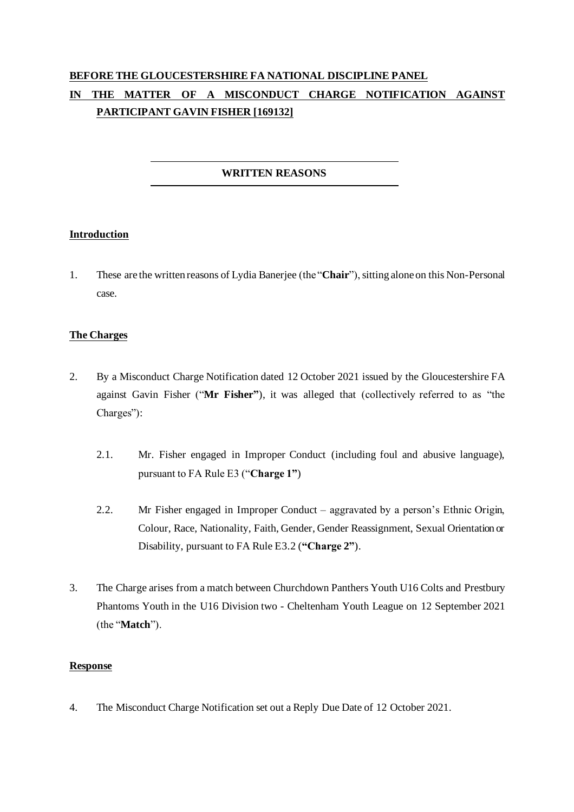# **BEFORE THE GLOUCESTERSHIRE FA NATIONAL DISCIPLINE PANEL IN THE MATTER OF A MISCONDUCT CHARGE NOTIFICATION AGAINST PARTICIPANT GAVIN FISHER [169132]**

## **WRITTEN REASONS**

## **Introduction**

1. These are the written reasons of Lydia Banerjee (the "**Chair**"), sitting alone on this Non-Personal case.

## **The Charges**

- 2. By a Misconduct Charge Notification dated 12 October 2021 issued by the Gloucestershire FA against Gavin Fisher ("**Mr Fisher"**), it was alleged that (collectively referred to as "the Charges"):
	- 2.1. Mr. Fisher engaged in Improper Conduct (including foul and abusive language), pursuant to FA Rule E3 ("**Charge 1"**)
	- 2.2. Mr Fisher engaged in Improper Conduct aggravated by a person's Ethnic Origin, Colour, Race, Nationality, Faith, Gender, Gender Reassignment, Sexual Orientation or Disability, pursuant to FA Rule E3.2 (**"Charge 2"**).
- 3. The Charge arises from a match between Churchdown Panthers Youth U16 Colts and Prestbury Phantoms Youth in the U16 Division two - Cheltenham Youth League on 12 September 2021 (the "**Match**").

## **Response**

4. The Misconduct Charge Notification set out a Reply Due Date of 12 October 2021.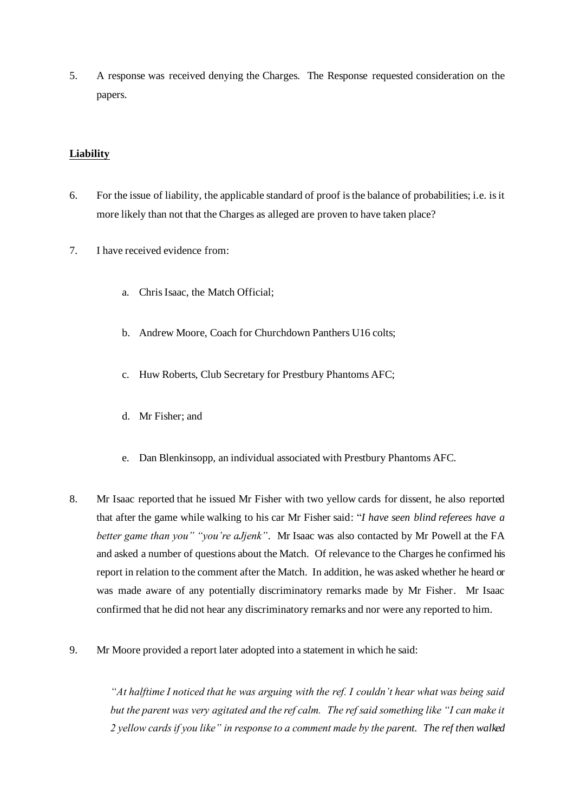5. A response was received denying the Charges. The Response requested consideration on the papers.

#### **Liability**

- 6. For the issue of liability, the applicable standard of proof is the balance of probabilities; i.e. is it more likely than not that the Charges as alleged are proven to have taken place?
- 7. I have received evidence from:
	- a. Chris Isaac, the Match Official;
	- b. Andrew Moore, Coach for Churchdown Panthers U16 colts;
	- c. Huw Roberts, Club Secretary for Prestbury Phantoms AFC;
	- d. Mr Fisher; and
	- e. Dan Blenkinsopp, an individual associated with Prestbury Phantoms AFC.
- 8. Mr Isaac reported that he issued Mr Fisher with two yellow cards for dissent, he also reported that after the game while walking to his car Mr Fisher said: "*I have seen blind referees have a better game than you" "you're aJjenk"*. Mr Isaac was also contacted by Mr Powell at the FA and asked a number of questions about the Match. Of relevance to the Charges he confirmed his report in relation to the comment after the Match. In addition, he was asked whether he heard or was made aware of any potentially discriminatory remarks made by Mr Fisher. Mr Isaac confirmed that he did not hear any discriminatory remarks and nor were any reported to him.
- 9. Mr Moore provided a report later adopted into a statement in which he said:

*"At halftime I noticed that he was arguing with the ref. I couldn't hear what was being said but the parent was very agitated and the ref calm. The ref said something like "I can make it 2 yellow cards if you like" in response to a comment made by the parent. The ref then walked*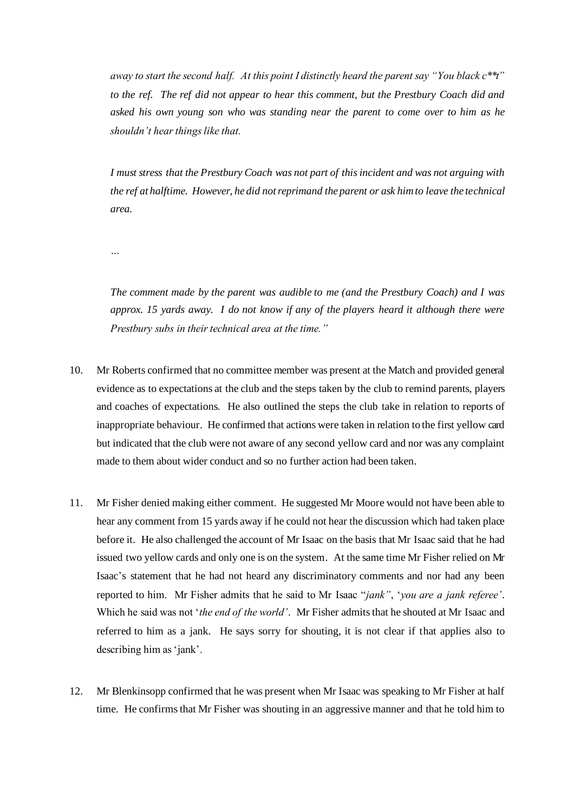*away to start the second half. At this point I distinctly heard the parent say "You black c\*\*t" to the ref. The ref did not appear to hear this comment, but the Prestbury Coach did and asked his own young son who was standing near the parent to come over to him as he shouldn't hear things like that.*

*I must stress that the Prestbury Coach was not part of this incident and was not arguing with the ref at halftime. However, he did not reprimand the parent or ask him to leave the technical area.*

*…*

*The comment made by the parent was audible to me (and the Prestbury Coach) and I was approx. 15 yards away. I do not know if any of the players heard it although there were Prestbury subs in their technical area at the time."*

- 10. Mr Roberts confirmed that no committee member was present at the Match and provided general evidence as to expectations at the club and the steps taken by the club to remind parents, players and coaches of expectations. He also outlined the steps the club take in relation to reports of inappropriate behaviour. He confirmed that actions were taken in relation to the first yellow card but indicated that the club were not aware of any second yellow card and nor was any complaint made to them about wider conduct and so no further action had been taken.
- 11. Mr Fisher denied making either comment. He suggested Mr Moore would not have been able to hear any comment from 15 yards away if he could not hear the discussion which had taken place before it. He also challenged the account of Mr Isaac on the basis that Mr Isaac said that he had issued two yellow cards and only one is on the system. At the same time Mr Fisher relied on Mr Isaac's statement that he had not heard any discriminatory comments and nor had any been reported to him. Mr Fisher admits that he said to Mr Isaac "*jank"*, '*you are a jank referee'*. Which he said was not '*the end of the world'*. Mr Fisher admits that he shouted at Mr Isaac and referred to him as a jank. He says sorry for shouting, it is not clear if that applies also to describing him as 'jank'.
- 12. Mr Blenkinsopp confirmed that he was present when Mr Isaac was speaking to Mr Fisher at half time. He confirms that Mr Fisher was shouting in an aggressive manner and that he told him to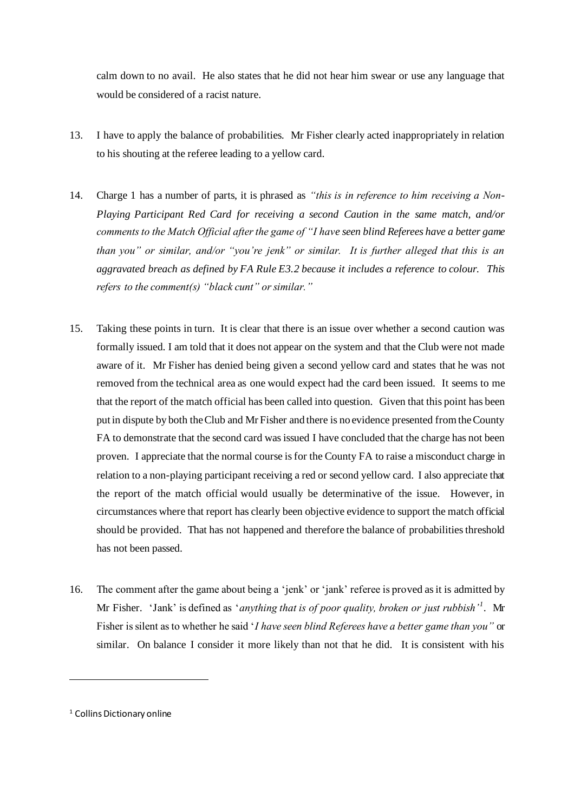calm down to no avail. He also states that he did not hear him swear or use any language that would be considered of a racist nature.

- 13. I have to apply the balance of probabilities. Mr Fisher clearly acted inappropriately in relation to his shouting at the referee leading to a yellow card.
- 14. Charge 1 has a number of parts, it is phrased as *"this is in reference to him receiving a Non-Playing Participant Red Card for receiving a second Caution in the same match, and/or comments to the Match Official after the game of "I have seen blind Referees have a better game than you" or similar, and/or "you're jenk" or similar. It is further alleged that this is an aggravated breach as defined by FA Rule E3.2 because it includes a reference to colour. This refers to the comment(s) "black cunt" or similar."*
- 15. Taking these points in turn. It is clear that there is an issue over whether a second caution was formally issued. I am told that it does not appear on the system and that the Club were not made aware of it. Mr Fisher has denied being given a second yellow card and states that he was not removed from the technical area as one would expect had the card been issued. It seems to me that the report of the match official has been called into question. Given that this point has been put in dispute by both the Club and Mr Fisher and there is no evidence presented from the County FA to demonstrate that the second card was issued I have concluded that the charge has not been proven. I appreciate that the normal course is for the County FA to raise a misconduct charge in relation to a non-playing participant receiving a red or second yellow card. I also appreciate that the report of the match official would usually be determinative of the issue. However, in circumstances where that report has clearly been objective evidence to support the match official should be provided. That has not happened and therefore the balance of probabilities threshold has not been passed.
- 16. The comment after the game about being a 'jenk' or 'jank' referee is proved as it is admitted by Mr Fisher. 'Jank' is defined as '*anything that is of poor quality, broken or just rubbish'<sup>1</sup>* . Mr Fisher is silent as to whether he said '*I have seen blind Referees have a better game than you"* or similar. On balance I consider it more likely than not that he did. It is consistent with his

<sup>&</sup>lt;sup>1</sup> Collins Dictionary online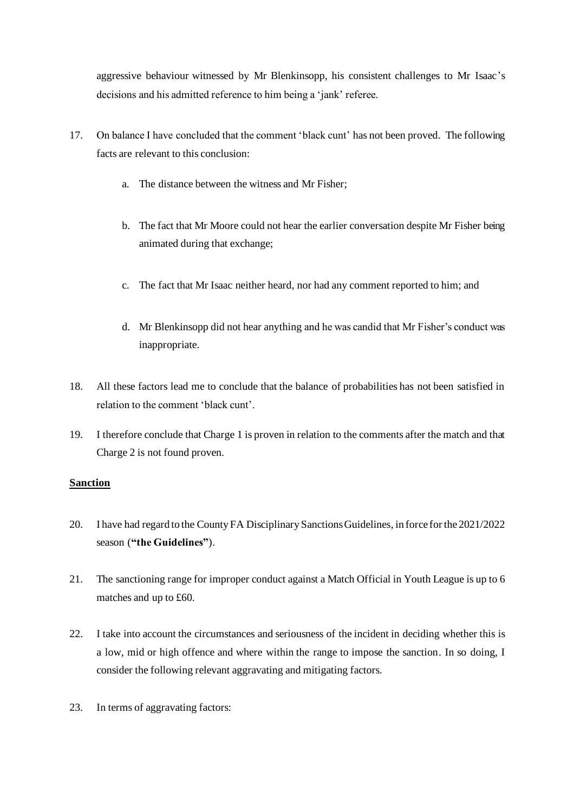aggressive behaviour witnessed by Mr Blenkinsopp, his consistent challenges to Mr Isaac's decisions and his admitted reference to him being a 'jank' referee.

- 17. On balance I have concluded that the comment 'black cunt' has not been proved. The following facts are relevant to this conclusion:
	- a. The distance between the witness and Mr Fisher;
	- b. The fact that Mr Moore could not hear the earlier conversation despite Mr Fisher being animated during that exchange;
	- c. The fact that Mr Isaac neither heard, nor had any comment reported to him; and
	- d. Mr Blenkinsopp did not hear anything and he was candid that Mr Fisher's conduct was inappropriate.
- 18. All these factors lead me to conclude that the balance of probabilities has not been satisfied in relation to the comment 'black cunt'.
- 19. I therefore conclude that Charge 1 is proven in relation to the comments after the match and that Charge 2 is not found proven.

## **Sanction**

- 20. I have had regard to the County FA Disciplinary Sanctions Guidelines, in force for the 2021/2022 season (**"the Guidelines"**).
- 21. The sanctioning range for improper conduct against a Match Official in Youth League is up to 6 matches and up to £60.
- 22. I take into account the circumstances and seriousness of the incident in deciding whether this is a low, mid or high offence and where within the range to impose the sanction. In so doing, I consider the following relevant aggravating and mitigating factors.
- 23. In terms of aggravating factors: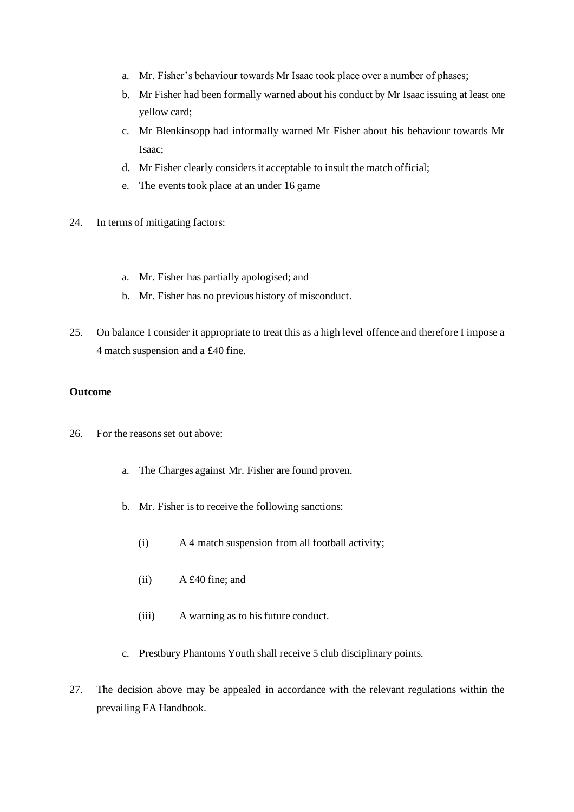- a. Mr. Fisher's behaviour towards Mr Isaac took place over a number of phases;
- b. Mr Fisher had been formally warned about his conduct by Mr Isaac issuing at least one yellow card;
- c. Mr Blenkinsopp had informally warned Mr Fisher about his behaviour towards Mr Isaac;
- d. Mr Fisher clearly considers it acceptable to insult the match official;
- e. The events took place at an under 16 game
- 24. In terms of mitigating factors:
	- a. Mr. Fisher has partially apologised; and
	- b. Mr. Fisher has no previous history of misconduct.
- 25. On balance I consider it appropriate to treat this as a high level offence and therefore I impose a 4 match suspension and a £40 fine.

#### **Outcome**

- 26. For the reasons set out above:
	- a. The Charges against Mr. Fisher are found proven.
	- b. Mr. Fisher is to receive the following sanctions:
		- (i) A 4 match suspension from all football activity;
		- (ii) A £40 fine; and
		- (iii) A warning as to his future conduct.
	- c. Prestbury Phantoms Youth shall receive 5 club disciplinary points.
- 27. The decision above may be appealed in accordance with the relevant regulations within the prevailing FA Handbook.